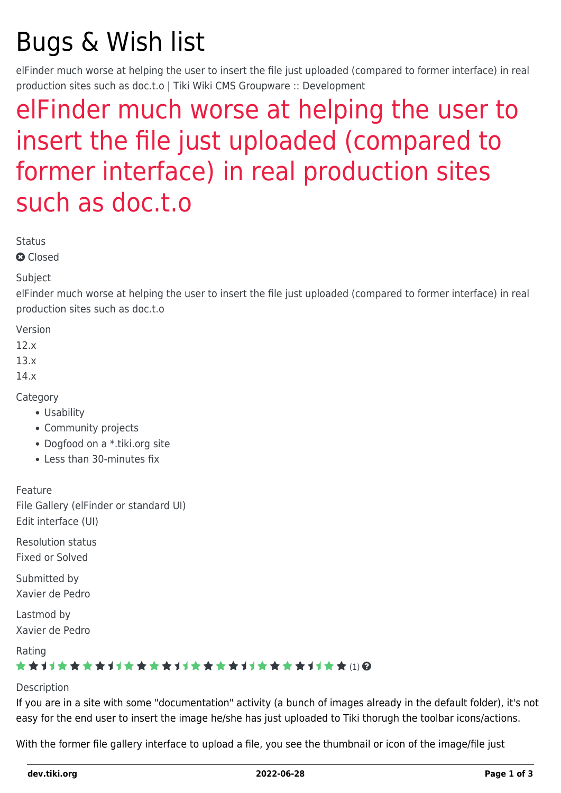# Bugs & Wish list

elFinder much worse at helping the user to insert the file just uploaded (compared to former interface) in real production sites such as doc.t.o | Tiki Wiki CMS Groupware :: Development

## [elFinder much worse at helping the user to](https://dev.tiki.org/item5535-elFinder-much-worse-at-helping-the-user-to-insert-the-file-just-uploaded-compared-to-former-interface-in-real-production-sites-such-as-doc-t-o) [insert the file just uploaded \(compared to](https://dev.tiki.org/item5535-elFinder-much-worse-at-helping-the-user-to-insert-the-file-just-uploaded-compared-to-former-interface-in-real-production-sites-such-as-doc-t-o) [former interface\) in real production sites](https://dev.tiki.org/item5535-elFinder-much-worse-at-helping-the-user-to-insert-the-file-just-uploaded-compared-to-former-interface-in-real-production-sites-such-as-doc-t-o) [such as doc.t.o](https://dev.tiki.org/item5535-elFinder-much-worse-at-helping-the-user-to-insert-the-file-just-uploaded-compared-to-former-interface-in-real-production-sites-such-as-doc-t-o)

**Status** 

**a** Closed

Subject

elFinder much worse at helping the user to insert the file just uploaded (compared to former interface) in real production sites such as doc.t.o

Version

12.x

13.x

14.x

**Category** 

- Usability
- Community projects
- Dogfood on a \*.tiki.org site
- Less than 30-minutes fix

Feature

File Gallery (elFinder or standard UI) Edit interface (UI)

Resolution status Fixed or Solved

Submitted by Xavier de Pedro

Lastmod by Xavier de Pedro

Rating

#### (1)

#### Description

If you are in a site with some "documentation" activity (a bunch of images already in the default folder), it's not easy for the end user to insert the image he/she has just uploaded to Tiki thorugh the toolbar icons/actions.

With the former file gallery interface to upload a file, you see the thumbnail or icon of the image/file just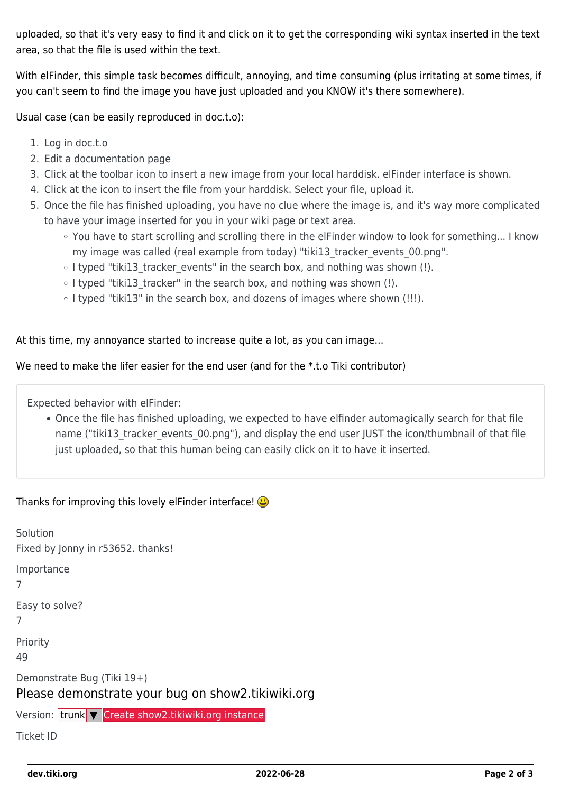uploaded, so that it's very easy to find it and click on it to get the corresponding wiki syntax inserted in the text area, so that the file is used within the text.

With elFinder, this simple task becomes difficult, annoying, and time consuming (plus irritating at some times, if you can't seem to find the image you have just uploaded and you KNOW it's there somewhere).

Usual case (can be easily reproduced in doc.t.o):

- 1. Log in doc.t.o
- 2. Edit a documentation page
- 3. Click at the toolbar icon to insert a new image from your local harddisk. elFinder interface is shown.
- 4. Click at the icon to insert the file from your harddisk. Select your file, upload it.
- 5. Once the file has finished uploading, you have no clue where the image is, and it's way more complicated to have your image inserted for you in your wiki page or text area.
	- You have to start scrolling and scrolling there in the elFinder window to look for something... I know my image was called (real example from today) "tiki13 tracker events 00.png".
	- I typed "tiki13 tracker events" in the search box, and nothing was shown (!).
	- $\circ$  I typed "tiki13 tracker" in the search box, and nothing was shown (!).
	- $\circ$  I typed "tiki13" in the search box, and dozens of images where shown (!!!).

At this time, my annoyance started to increase quite a lot, as you can image...

We need to make the lifer easier for the end user (and for the \*.t.o Tiki contributor)

Expected behavior with elFinder:

Once the file has finished uploading, we expected to have elfinder automagically search for that file name ("tiki13 tracker events 00.png"), and display the end user JUST the icon/thumbnail of that file just uploaded, so that this human being can easily click on it to have it inserted.

Thanks for improving this lovely elFinder interface!

| Solution<br>Fixed by Jonny in r53652. thanks!                                   |
|---------------------------------------------------------------------------------|
| Importance<br>7                                                                 |
| Easy to solve?<br>7                                                             |
| Priority<br>49                                                                  |
| Demonstrate Bug (Tiki 19+)<br>Please demonstrate your bug on show2.tikiwiki.org |
| Version: trunk <del>V</del> Create show2.tikiwiki.org instance                  |
| <b>Ticket ID</b>                                                                |
|                                                                                 |